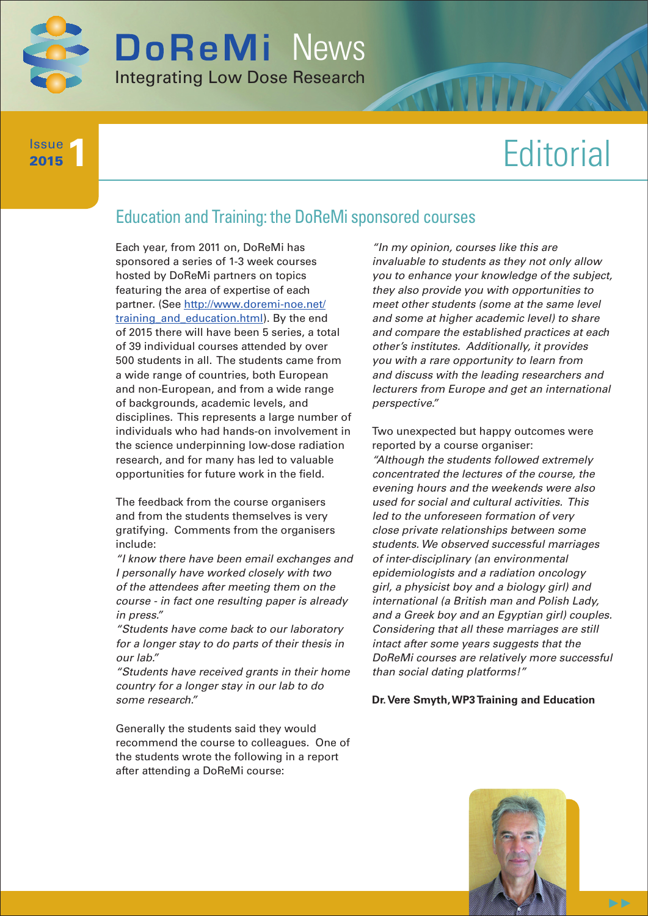

**1** Issue 2015

# **Editorial**

## Education and Training: the DoReMi sponsored courses

Each year, from 2011 on, DoReMi has sponsored a series of 1-3 week courses hosted by DoReMi partners on topics featuring the area of expertise of each partner. (See http://www.doremi-noe.net/ training and education.html). By the end of 2015 there will have been 5 series, a total of 39 individual courses attended by over 500 students in all. The students came from a wide range of countries, both European and non-European, and from a wide range of backgrounds, academic levels, and disciplines. This represents a large number of individuals who had hands-on involvement in the science underpinning low-dose radiation research, and for many has led to valuable opportunities for future work in the field.

The feedback from the course organisers and from the students themselves is very gratifying. Comments from the organisers include:

*"I know there have been email exchanges and I personally have worked closely with two of the attendees after meeting them on the course - in fact one resulting paper is already in press."* 

*"Students have come back to our laboratory for a longer stay to do parts of their thesis in our lab."*

*"Students have received grants in their home country for a longer stay in our lab to do some research."* 

Generally the students said they would recommend the course to colleagues. One of the students wrote the following in a report after attending a DoReMi course:

*"In my opinion, courses like this are invaluable to students as they not only allow you to enhance your knowledge of the subject, they also provide you with opportunities to meet other students (some at the same level and some at higher academic level) to share and compare the established practices at each other's institutes. Additionally, it provides you with a rare opportunity to learn from and discuss with the leading researchers and lecturers from Europe and get an international perspective."*

Two unexpected but happy outcomes were reported by a course organiser: *"Although the students followed extremely concentrated the lectures of the course, the evening hours and the weekends were also used for social and cultural activities. This led to the unforeseen formation of very close private relationships between some students. We observed successful marriages of inter-disciplinary (an environmental epidemiologists and a radiation oncology girl, a physicist boy and a biology girl) and international (a British man and Polish Lady, and a Greek boy and an Egyptian girl) couples. Considering that all these marriages are still intact after some years suggests that the DoReMi courses are relatively more successful than social dating platforms!"*

**Dr. Vere Smyth, WP3 Training and Education**